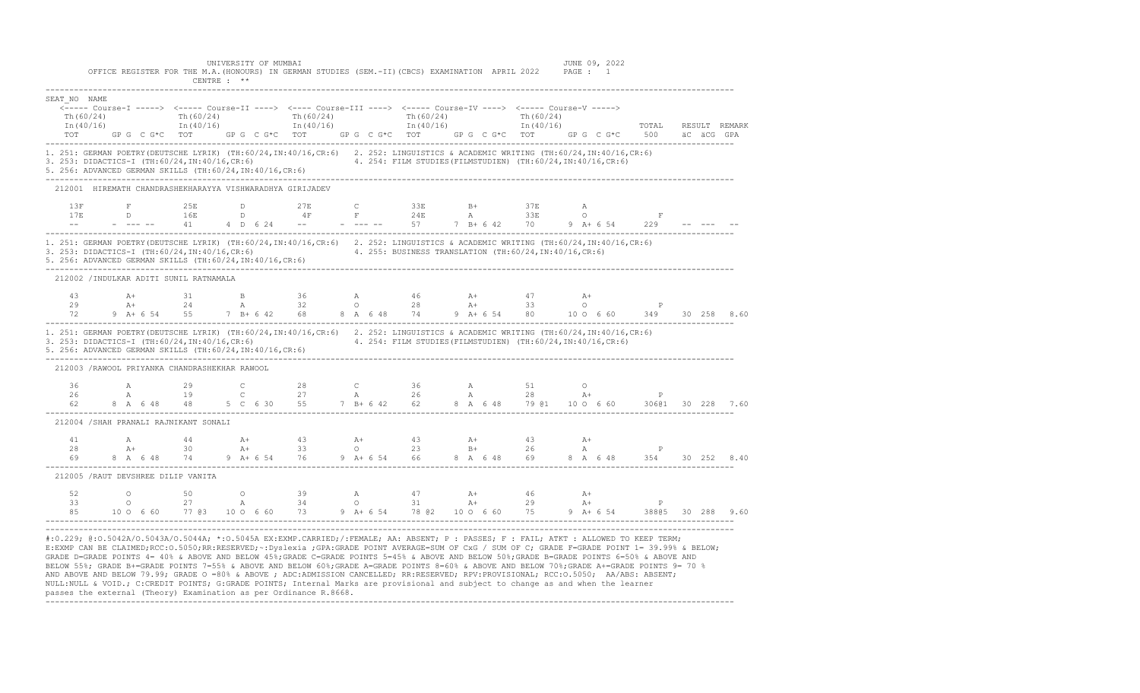|                     |                                                           |  | UNIVERSITY OF MUMBAI<br>CENTRE : $**$ |  |  | OFFICE REGISTER FOR THE M.A. (HONOURS) IN GERMAN STUDIES (SEM.-II) (CBCS) EXAMINATION APRIL 2022 PAGE : 1                                                                                                                                                                                                                                                                                                                                                                                                                                                                              |  | JUNE 09, 2022 |  |       |  |                             |
|---------------------|-----------------------------------------------------------|--|---------------------------------------|--|--|----------------------------------------------------------------------------------------------------------------------------------------------------------------------------------------------------------------------------------------------------------------------------------------------------------------------------------------------------------------------------------------------------------------------------------------------------------------------------------------------------------------------------------------------------------------------------------------|--|---------------|--|-------|--|-----------------------------|
| SEAT NO NAME<br>TOT |                                                           |  |                                       |  |  | <----- Course-I -----> <----- Course-II ----> <---- Course-III ----> <----- Course-IV ----> <----- Course-V -----><br>$\ln (60/24)$ $\ln (60/24)$ $\ln (40/16)$ $\ln (40/16)$ $\ln (40/16)$ $\ln (40/16)$ $\ln (40/16)$ $\ln (40/16)$                                                                                                                                                                                                                                                                                                                                                  |  |               |  | TOTAL |  | RESULT REMARK<br>äC äCG GPA |
|                     |                                                           |  |                                       |  |  | 1. 251: GERMAN POETRY (DEUTSCHE LYRIK) (TH:60/24, IN:40/16, CR:6) 2. 252: LINGUISTICS & ACADEMIC WRITING (TH:60/24, IN:40/16, CR:6)<br>3. 253: DIDACTICS-I (TH:60/24, IN:40/16, CR:6) 4. 254: FILM STUDIES (FILMSTUDIEN) (TH:60/24, IN:40/16, CR:6) 5. 256: ADVANCED GERMAN SKILLS (TH:60/24, IN:40/16, CR:6)                                                                                                                                                                                                                                                                          |  |               |  |       |  |                             |
|                     | 212001 HIREMATH CHANDRASHEKHARAYYA VISHWARADHYA GIRIJADEV |  |                                       |  |  |                                                                                                                                                                                                                                                                                                                                                                                                                                                                                                                                                                                        |  |               |  |       |  |                             |
|                     |                                                           |  |                                       |  |  |                                                                                                                                                                                                                                                                                                                                                                                                                                                                                                                                                                                        |  |               |  |       |  |                             |
|                     |                                                           |  |                                       |  |  | 1. 251: GERMAN POETRY(DEUTSCHE LYRIK) (TH:60/24,IN:40/16,CR:6) 2. 252: LINGUISTICS & ACADEMIC WRITING (TH:60/24,IN:40/16,CR:6)                                                                                                                                                                                                                                                                                                                                                                                                                                                         |  |               |  |       |  |                             |
|                     | 212002 / INDULKAR ADITI SUNIL RATNAMALA                   |  |                                       |  |  |                                                                                                                                                                                                                                                                                                                                                                                                                                                                                                                                                                                        |  |               |  |       |  |                             |
|                     |                                                           |  |                                       |  |  | $\begin{array}{cccccccccccccccc} 43 & & & &\text{A+} & & & 31 & & \text{B} & & 36 & & \text{A} & & 46 & & \text{A+} & & 47 & & \text{A+} & & \text{P} \\ 29 & & & & \text{A+} & & 24 & & \text{A} & & 32 & & \text{O} & & 28 & & \text{A+} & & 33 & & \text{O} & & \text{P} \\ 72 & & 9 & & \text{A+} & 6 & 54 & & 55 & & 7 & \text{B+} & 6 & 42 & & 68 & & 8 & \text{A} & 6 & 48 &$                                                                                                                                                                                                   |  |               |  |       |  |                             |
|                     |                                                           |  |                                       |  |  | 1. 251: GERMAN POETRY (DEUTSCHE LYRIK) (TH:60/24,IN:40/16,CR:6) 2. 252: LINGUISTICS & ACADEMIC WRITING (TH:60/24,IN:40/16,CR:6)<br>3. 253: DIDACTICS-I (TH:60/24,IN:40/16,CR:6) 4. 254: FILM STUDIES(FILMSTUDIEN) (TH:60/24,IN:40/16,CR:6)<br>5. 256: ADVANCED GERMAN SKILLS (TH:60/24,IN:40/16,CR:6) 4. 254: FILM STUDIES(FILMSTUDIEN) (TH:60/24,IN:40/16,CR:6)                                                                                                                                                                                                                       |  |               |  |       |  |                             |
|                     | 212003 / RAWOOL PRIYANKA CHANDRASHEKHAR RAWOOL            |  |                                       |  |  |                                                                                                                                                                                                                                                                                                                                                                                                                                                                                                                                                                                        |  |               |  |       |  |                             |
|                     |                                                           |  |                                       |  |  | 36 A 29 C 28 C 36 A 51 O                                                                                                                                                                                                                                                                                                                                                                                                                                                                                                                                                               |  |               |  |       |  |                             |
|                     | 212004 / SHAH PRANALI RAJNIKANT SONALI                    |  |                                       |  |  |                                                                                                                                                                                                                                                                                                                                                                                                                                                                                                                                                                                        |  |               |  |       |  |                             |
|                     |                                                           |  |                                       |  |  | $28$ $24$ $26$ $27$ $28$ $28$ $29$ $20$ $23$ $24$ $26$ $25$ $26$ $27$ $28$ $28$ $29$ $252$ $8.40$                                                                                                                                                                                                                                                                                                                                                                                                                                                                                      |  |               |  |       |  |                             |
|                     | 212005 / RAUT DEVSHREE DILIP VANITA                       |  |                                       |  |  |                                                                                                                                                                                                                                                                                                                                                                                                                                                                                                                                                                                        |  |               |  |       |  |                             |
|                     |                                                           |  |                                       |  |  | $\begin{array}{cccccccccccccccc} 52 & 0 & 50 & 0 & 39 & \text{A} & 47 & \text{A} & 46 & \text{A} & \text{P} \\ 33 & 0 & 27 & \text{A} & 34 & 0 & 31 & \text{A} & 29 & \text{A} & \text{P} \\ 85 & 100 & 660 & 77 & 83 & 100 & 6 & 60 & 73 & 9 & \text{A} + & 6 & 54 & 78 & \text{B} & 2 & 10 & 0 & 6 & 60 & 75 & 9 & \text{A} + & 6 & 54 & 388 & \text$                                                                                                                                                                                                                                |  |               |  |       |  |                             |
|                     |                                                           |  |                                       |  |  | #:0.229; @:0.5042A/0.5043A/0.5044A; *:0.5045A EX:EXMP.CARRIED;/:FEMALE; AA: ABSENT; P : PASSES; F : FAIL; ATKT : ALLOWED TO KEEP TERM;<br>E:EXMP CAN BE CLAIMED;RCC:O.5050;RR:RESERVED;~:Dyslexia ;GPA:GRADE POINT AVERAGE=SUM OF CxG / SUM OF C; GRADE F=GRADE POINT 1= 39.99% & BELOW;<br>GRADE D=GRADE POINTS 4= 40% & ABOVE AND BELOW 45%;GRADE C=GRADE POINTS 5=45% & ABOVE AND BELOW 50%;GRADE B=GRADE POINTS 6=50% & ABOVE AND<br>BELOW 55%; GRADE B+=GRADE POINTS 7=55% & ABOVE AND BELOW 60%; GRADE A=GRADE POINTS 8=60% & ABOVE AND BELOW 70%; GRADE A+=GRADE POINTS 9= 70 % |  |               |  |       |  |                             |

AND ABOVE AND BELOW 79.99; GRADE O =80% & ABOVE ; ADC:ADMISSION CANCELLED; RR:RESERVED; RPV:PROVISIONAL; RCC:O.5050; AA/ABS: ABSENT; NULL:NULL & VOID.; C:CREDIT POINTS; G:GRADE POINTS; Internal Marks are provisional and subject to change as and when the learner passes the external (Theory) Examination as per Ordinance R.8668. -------------------------------------------------------------------------------------------------------------------------------------------------